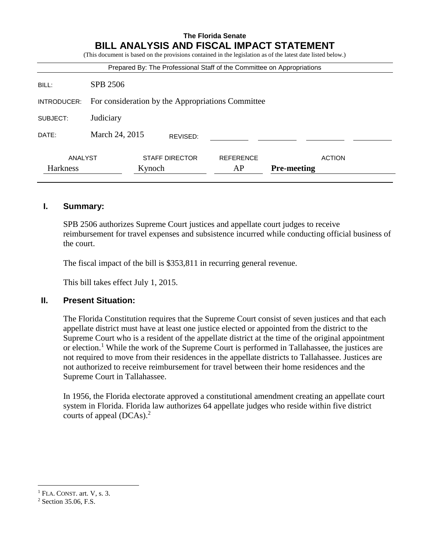# **The Florida Senate BILL ANALYSIS AND FISCAL IMPACT STATEMENT**

(This document is based on the provisions contained in the legislation as of the latest date listed below.)

| Prepared By: The Professional Staff of the Committee on Appropriations |                                                   |        |                       |                  |                    |               |  |  |  |
|------------------------------------------------------------------------|---------------------------------------------------|--------|-----------------------|------------------|--------------------|---------------|--|--|--|
| BILL:                                                                  | SPB 2506                                          |        |                       |                  |                    |               |  |  |  |
| INTRODUCER:                                                            | For consideration by the Appropriations Committee |        |                       |                  |                    |               |  |  |  |
| SUBJECT:                                                               | Judiciary                                         |        |                       |                  |                    |               |  |  |  |
| DATE:                                                                  | March 24, 2015                                    |        | REVISED:              |                  |                    |               |  |  |  |
| ANALYST                                                                |                                                   |        | <b>STAFF DIRECTOR</b> | <b>REFERENCE</b> |                    | <b>ACTION</b> |  |  |  |
| Harkness                                                               |                                                   | Kynoch |                       | AP               | <b>Pre-meeting</b> |               |  |  |  |

#### **I. Summary:**

SPB 2506 authorizes Supreme Court justices and appellate court judges to receive reimbursement for travel expenses and subsistence incurred while conducting official business of the court.

The fiscal impact of the bill is \$353,811 in recurring general revenue.

This bill takes effect July 1, 2015.

#### **II. Present Situation:**

The Florida Constitution requires that the Supreme Court consist of seven justices and that each appellate district must have at least one justice elected or appointed from the district to the Supreme Court who is a resident of the appellate district at the time of the original appointment or election.<sup>1</sup> While the work of the Supreme Court is performed in Tallahassee, the justices are not required to move from their residences in the appellate districts to Tallahassee. Justices are not authorized to receive reimbursement for travel between their home residences and the Supreme Court in Tallahassee.

In 1956, the Florida electorate approved a constitutional amendment creating an appellate court system in Florida. Florida law authorizes 64 appellate judges who reside within five district courts of appeal (DCAs). 2

 $\overline{a}$ 

 $<sup>1</sup>$  FLA. CONST. art. V, s. 3.</sup>

<sup>2</sup> Section 35.06, F.S.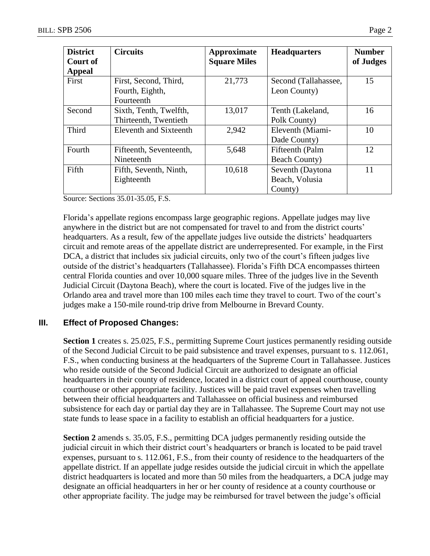| <b>District</b><br>Court of | <b>Circuits</b>         | Approximate<br><b>Square Miles</b> | <b>Headquarters</b>  | <b>Number</b><br>of Judges |
|-----------------------------|-------------------------|------------------------------------|----------------------|----------------------------|
| <b>Appeal</b>               |                         |                                    |                      |                            |
| First                       | First, Second, Third,   | 21,773                             | Second (Tallahassee, | 15                         |
|                             | Fourth, Eighth,         |                                    | Leon County)         |                            |
|                             | Fourteenth              |                                    |                      |                            |
| Second                      | Sixth, Tenth, Twelfth,  | 13,017                             | Tenth (Lakeland,     | 16                         |
|                             | Thirteenth, Twentieth   |                                    | Polk County)         |                            |
| Third                       | Eleventh and Sixteenth  | 2,942                              | Eleventh (Miami-     | 10                         |
|                             |                         |                                    | Dade County)         |                            |
| Fourth                      | Fifteenth, Seventeenth, | 5,648                              | Fifteenth (Palm      | 12                         |
|                             | Nineteenth              |                                    | <b>Beach County)</b> |                            |
| Fifth                       | Fifth, Seventh, Ninth,  | 10,618                             | Seventh (Daytona     | 11                         |
|                             | Eighteenth              |                                    | Beach, Volusia       |                            |
|                             |                         |                                    | County)              |                            |

Source: Sections 35.01-35.05, F.S.

Florida's appellate regions encompass large geographic regions. Appellate judges may live anywhere in the district but are not compensated for travel to and from the district courts' headquarters. As a result, few of the appellate judges live outside the districts' headquarters circuit and remote areas of the appellate district are underrepresented. For example, in the First DCA, a district that includes six judicial circuits, only two of the court's fifteen judges live outside of the district's headquarters (Tallahassee). Florida's Fifth DCA encompasses thirteen central Florida counties and over 10,000 square miles. Three of the judges live in the Seventh Judicial Circuit (Daytona Beach), where the court is located. Five of the judges live in the Orlando area and travel more than 100 miles each time they travel to court. Two of the court's judges make a 150-mile round-trip drive from Melbourne in Brevard County.

## **III. Effect of Proposed Changes:**

**Section 1** creates s. 25.025, F.S., permitting Supreme Court justices permanently residing outside of the Second Judicial Circuit to be paid subsistence and travel expenses, pursuant to s. 112.061, F.S., when conducting business at the headquarters of the Supreme Court in Tallahassee. Justices who reside outside of the Second Judicial Circuit are authorized to designate an official headquarters in their county of residence, located in a district court of appeal courthouse, county courthouse or other appropriate facility. Justices will be paid travel expenses when travelling between their official headquarters and Tallahassee on official business and reimbursed subsistence for each day or partial day they are in Tallahassee. The Supreme Court may not use state funds to lease space in a facility to establish an official headquarters for a justice.

**Section 2** amends s. 35.05, F.S., permitting DCA judges permanently residing outside the judicial circuit in which their district court's headquarters or branch is located to be paid travel expenses, pursuant to s. 112.061, F.S., from their county of residence to the headquarters of the appellate district. If an appellate judge resides outside the judicial circuit in which the appellate district headquarters is located and more than 50 miles from the headquarters, a DCA judge may designate an official headquarters in her or her county of residence at a county courthouse or other appropriate facility. The judge may be reimbursed for travel between the judge's official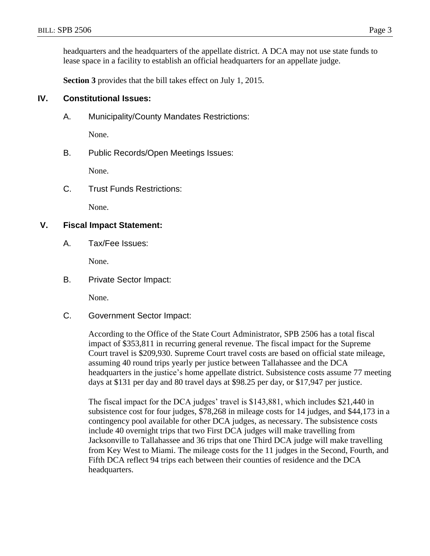headquarters and the headquarters of the appellate district. A DCA may not use state funds to lease space in a facility to establish an official headquarters for an appellate judge.

**Section 3** provides that the bill takes effect on July 1, 2015.

### **IV. Constitutional Issues:**

A. Municipality/County Mandates Restrictions:

None.

B. Public Records/Open Meetings Issues:

None.

C. Trust Funds Restrictions:

None.

#### **V. Fiscal Impact Statement:**

A. Tax/Fee Issues:

None.

B. Private Sector Impact:

None.

C. Government Sector Impact:

According to the Office of the State Court Administrator, SPB 2506 has a total fiscal impact of \$353,811 in recurring general revenue. The fiscal impact for the Supreme Court travel is \$209,930. Supreme Court travel costs are based on official state mileage, assuming 40 round trips yearly per justice between Tallahassee and the DCA headquarters in the justice's home appellate district. Subsistence costs assume 77 meeting days at \$131 per day and 80 travel days at \$98.25 per day, or \$17,947 per justice.

The fiscal impact for the DCA judges' travel is \$143,881, which includes \$21,440 in subsistence cost for four judges, \$78,268 in mileage costs for 14 judges, and \$44,173 in a contingency pool available for other DCA judges, as necessary. The subsistence costs include 40 overnight trips that two First DCA judges will make travelling from Jacksonville to Tallahassee and 36 trips that one Third DCA judge will make travelling from Key West to Miami. The mileage costs for the 11 judges in the Second, Fourth, and Fifth DCA reflect 94 trips each between their counties of residence and the DCA headquarters.